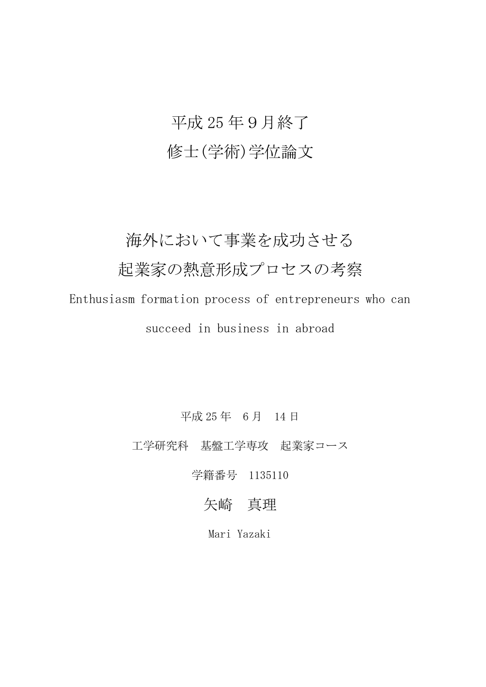# 平成 25 年9月終了 修士(学術)学位論文

### 海外において事業を成功させる

## 起業家の熱意形成プロセスの考察

Enthusiasm formation process of entrepreneurs who can succeed in business in abroad

平成 25 年 6 月 14 日

工学研究科 基盤工学専攻 起業家コース

学籍番号 1135110

#### 矢崎 真理

Mari Yazaki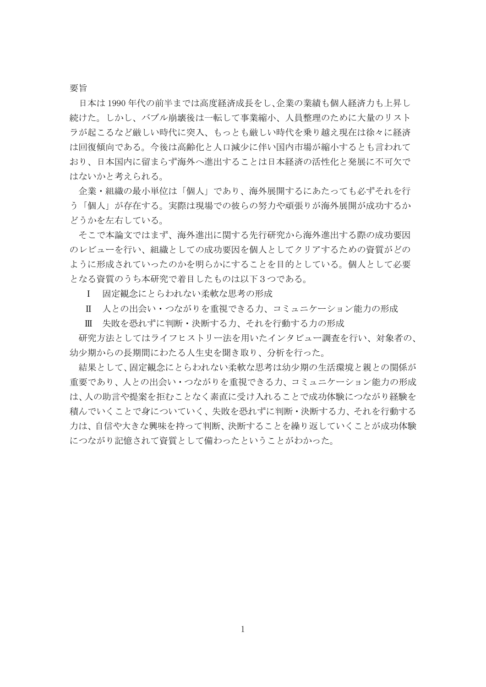#### 要旨

日本は 1990 年代の前半までは高度経済成長をし、企業の業績も個人経済力も上昇し 続けた。しかし、バブル崩壊後は一転して事業縮小、人員整理のために大量のリスト ラが起こるなど厳しい時代に突入、もっとも厳しい時代を乗り越え現在は徐々に経済 は回復傾向である。今後は高齢化と人口減少に伴い国内市場が縮小するとも言われて おり、日本国内に留まらず海外へ進出することは日本経済の活性化と発展に不可欠で はないかと考えられる。

企業・組織の最小単位は「個人」であり、海外展開するにあたっても必ずそれを行 う「個人」が存在する。実際は現場での彼らの努力や頑張りが海外展開が成功するか どうかを左右している。

そこで本論文ではまず、海外進出に関する先行研究から海外進出する際の成功要因 のレビューを行い、組織としての成功要因を個人としてクリアするための資質がどの ように形成されていったのかを明らかにすることを目的としている。個人として必要 となる資質のうち本研究で着目したものは以下3つである。

Ⅰ 固定観念にとらわれない柔軟な思考の形成

Ⅱ 人との出会い・つながりを重視できる力、コミュニケーション能力の形成

Ⅲ 失敗を恐れずに判断・決断する力、それを行動する力の形成

研究方法としてはライフヒストリー法を用いたインタビュー調査を行い、対象者の、 幼少期からの長期間にわたる人生史を聞き取り、分析を行った。

結果として、固定観念にとらわれない柔軟な思考は幼少期の生活環境と親との関係が 重要であり、人との出会い・つながりを重視できる力、コミュニケーション能力の形成 は、人の助言や提案を拒むことなく素直に受け入れることで成功体験につながり経験を 積んでいくことで身についていく、失敗を恐れずに判断・決断する力、それを行動する 力は、自信や大きな興味を持って判断、決断することを繰り返していくことが成功体験 につながり記憶されて資質として備わったということがわかった。

1